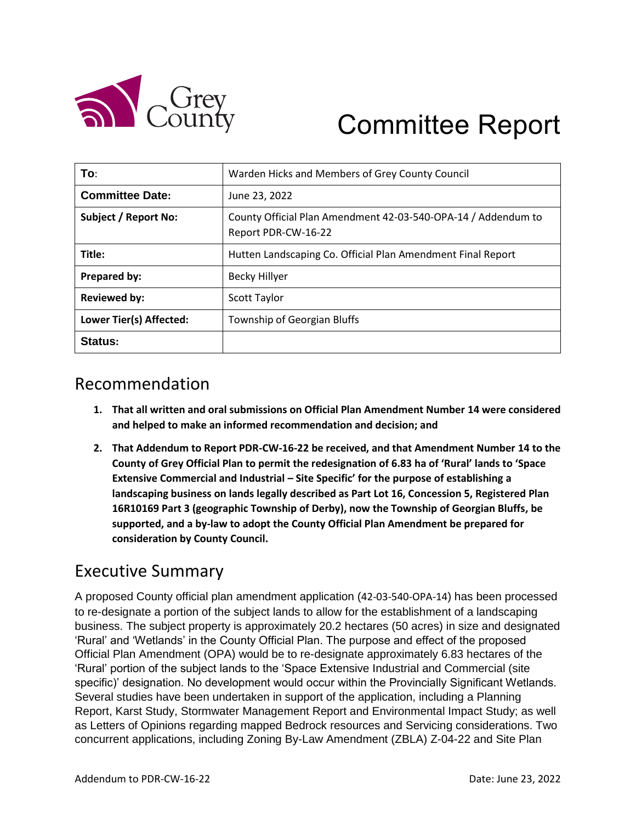

# Committee Report

| To:                         | Warden Hicks and Members of Grey County Council                                      |
|-----------------------------|--------------------------------------------------------------------------------------|
| <b>Committee Date:</b>      | June 23, 2022                                                                        |
| <b>Subject / Report No:</b> | County Official Plan Amendment 42-03-540-OPA-14 / Addendum to<br>Report PDR-CW-16-22 |
| Title:                      | Hutten Landscaping Co. Official Plan Amendment Final Report                          |
| Prepared by:                | Becky Hillyer                                                                        |
| <b>Reviewed by:</b>         | <b>Scott Taylor</b>                                                                  |
| Lower Tier(s) Affected:     | Township of Georgian Bluffs                                                          |
| Status:                     |                                                                                      |

# Recommendation

- **1. That all written and oral submissions on Official Plan Amendment Number 14 were considered and helped to make an informed recommendation and decision; and**
- **2. That Addendum to Report PDR-CW-16-22 be received, and that Amendment Number 14 to the County of Grey Official Plan to permit the redesignation of 6.83 ha of 'Rural' lands to 'Space Extensive Commercial and Industrial – Site Specific' for the purpose of establishing a landscaping business on lands legally described as Part Lot 16, Concession 5, Registered Plan 16R10169 Part 3 (geographic Township of Derby), now the Township of Georgian Bluffs, be supported, and a by-law to adopt the County Official Plan Amendment be prepared for consideration by County Council.**

# Executive Summary

A proposed County official plan amendment application (42-03-540-OPA-14) has been processed to re-designate a portion of the subject lands to allow for the establishment of a landscaping business. The subject property is approximately 20.2 hectares (50 acres) in size and designated 'Rural' and 'Wetlands' in the County Official Plan. The purpose and effect of the proposed Official Plan Amendment (OPA) would be to re-designate approximately 6.83 hectares of the 'Rural' portion of the subject lands to the 'Space Extensive Industrial and Commercial (site specific)' designation. No development would occur within the Provincially Significant Wetlands. Several studies have been undertaken in support of the application, including a Planning Report, Karst Study, Stormwater Management Report and Environmental Impact Study; as well as Letters of Opinions regarding mapped Bedrock resources and Servicing considerations. Two concurrent applications, including Zoning By-Law Amendment (ZBLA) Z-04-22 and Site Plan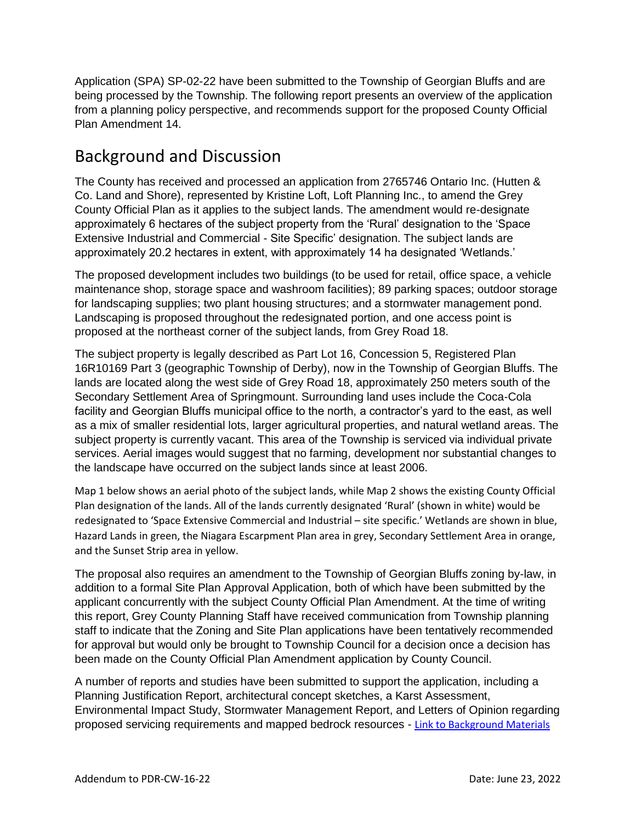Application (SPA) SP-02-22 have been submitted to the Township of Georgian Bluffs and are being processed by the Township. The following report presents an overview of the application from a planning policy perspective, and recommends support for the proposed County Official Plan Amendment 14.

# Background and Discussion

The County has received and processed an application from 2765746 Ontario Inc. (Hutten & Co. Land and Shore), represented by Kristine Loft, Loft Planning Inc., to amend the Grey County Official Plan as it applies to the subject lands. The amendment would re-designate approximately 6 hectares of the subject property from the 'Rural' designation to the 'Space Extensive Industrial and Commercial - Site Specific' designation. The subject lands are approximately 20.2 hectares in extent, with approximately 14 ha designated 'Wetlands.'

The proposed development includes two buildings (to be used for retail, office space, a vehicle maintenance shop, storage space and washroom facilities); 89 parking spaces; outdoor storage for landscaping supplies; two plant housing structures; and a stormwater management pond. Landscaping is proposed throughout the redesignated portion, and one access point is proposed at the northeast corner of the subject lands, from Grey Road 18.

The subject property is legally described as Part Lot 16, Concession 5, Registered Plan 16R10169 Part 3 (geographic Township of Derby), now in the Township of Georgian Bluffs. The lands are located along the west side of Grey Road 18, approximately 250 meters south of the Secondary Settlement Area of Springmount. Surrounding land uses include the Coca-Cola facility and Georgian Bluffs municipal office to the north, a contractor's yard to the east, as well as a mix of smaller residential lots, larger agricultural properties, and natural wetland areas. The subject property is currently vacant. This area of the Township is serviced via individual private services. Aerial images would suggest that no farming, development nor substantial changes to the landscape have occurred on the subject lands since at least 2006.

Map 1 below shows an aerial photo of the subject lands, while Map 2 shows the existing County Official Plan designation of the lands. All of the lands currently designated 'Rural' (shown in white) would be redesignated to 'Space Extensive Commercial and Industrial – site specific.' Wetlands are shown in blue, Hazard Lands in green, the Niagara Escarpment Plan area in grey, Secondary Settlement Area in orange, and the Sunset Strip area in yellow.

The proposal also requires an amendment to the Township of Georgian Bluffs zoning by-law, in addition to a formal Site Plan Approval Application, both of which have been submitted by the applicant concurrently with the subject County Official Plan Amendment. At the time of writing this report, Grey County Planning Staff have received communication from Township planning staff to indicate that the Zoning and Site Plan applications have been tentatively recommended for approval but would only be brought to Township Council for a decision once a decision has been made on the County Official Plan Amendment application by County Council.

A number of reports and studies have been submitted to support the application, including a Planning Justification Report, architectural concept sketches, a Karst Assessment, Environmental Impact Study, Stormwater Management Report, and Letters of Opinion regarding proposed servicing requirements and mapped bedrock resources - [Link to Background Materials](https://www.grey.ca/planning-development/planning-applications)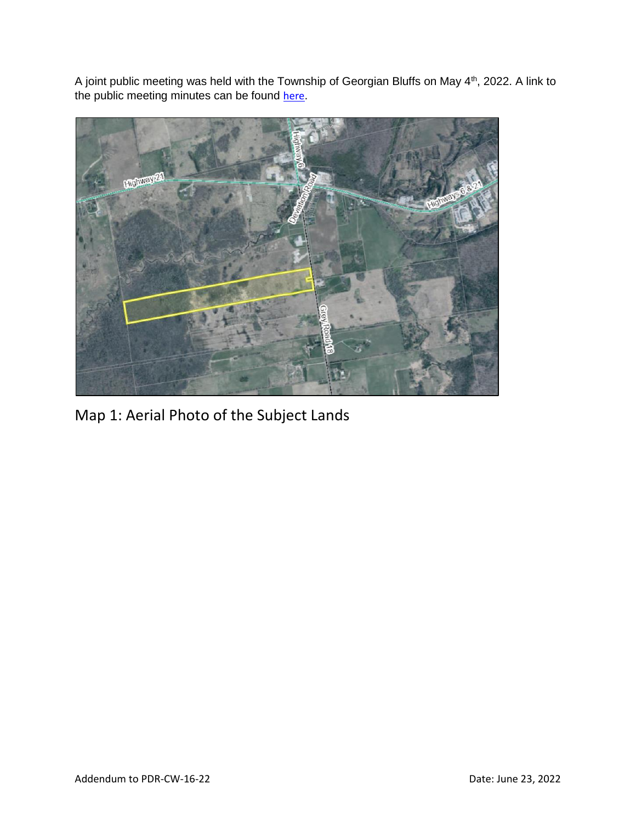A joint public meeting was held with the Township of Georgian Bluffs on May 4<sup>th</sup>, 2022. A link to the public meeting minutes can be found [here](https://council.grey.ca/meeting/getPDFRendition?documentObjectId=fd6d8b6a-7095-4cac-9a3a-498e65e30793).



Map 1: Aerial Photo of the Subject Lands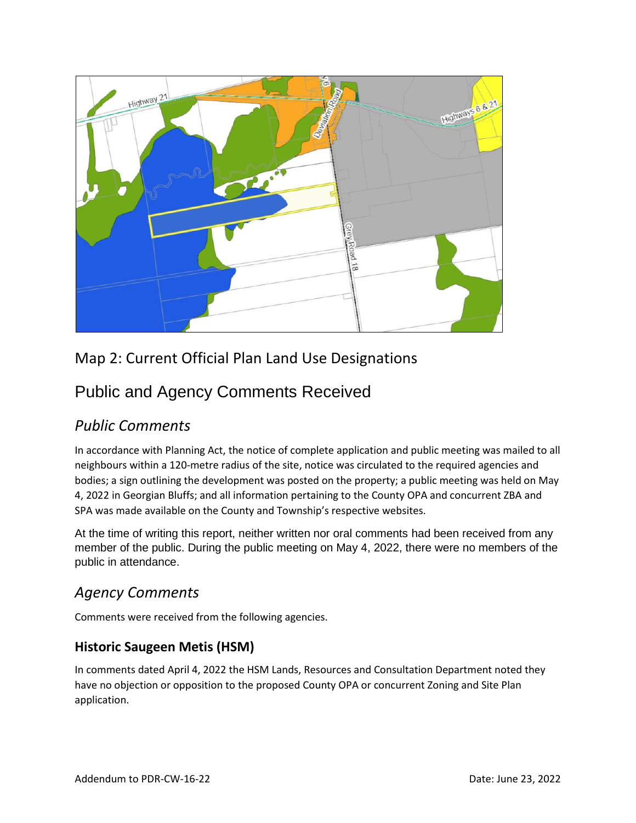

## Map 2: Current Official Plan Land Use Designations

# Public and Agency Comments Received

### *Public Comments*

In accordance with Planning Act, the notice of complete application and public meeting was mailed to all neighbours within a 120-metre radius of the site, notice was circulated to the required agencies and bodies; a sign outlining the development was posted on the property; a public meeting was held on May 4, 2022 in Georgian Bluffs; and all information pertaining to the County OPA and concurrent ZBA and SPA was made available on the County and Township's respective websites.

At the time of writing this report, neither written nor oral comments had been received from any member of the public. During the public meeting on May 4, 2022, there were no members of the public in attendance.

### *Agency Comments*

Comments were received from the following agencies.

#### **Historic Saugeen Metis (HSM)**

In comments dated April 4, 2022 the HSM Lands, Resources and Consultation Department noted they have no objection or opposition to the proposed County OPA or concurrent Zoning and Site Plan application.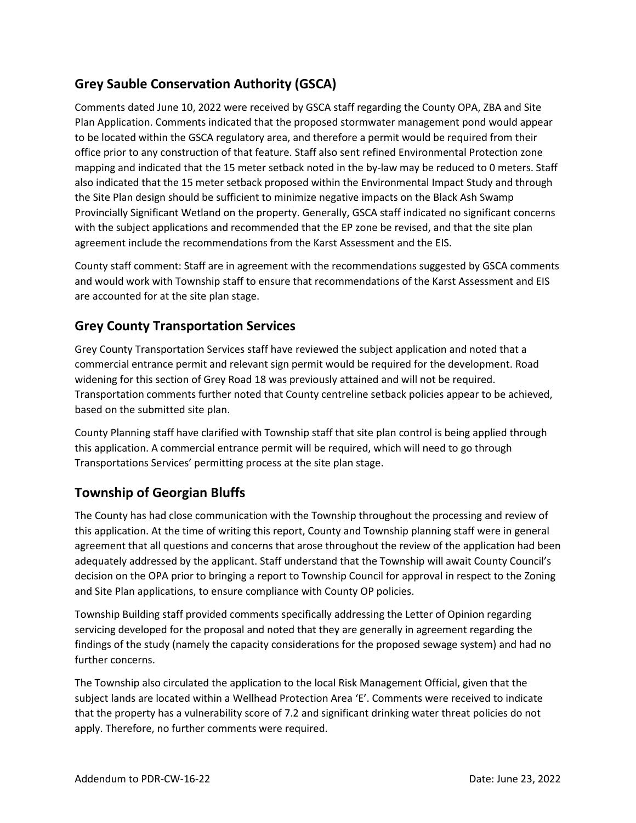### **Grey Sauble Conservation Authority (GSCA)**

Comments dated June 10, 2022 were received by GSCA staff regarding the County OPA, ZBA and Site Plan Application. Comments indicated that the proposed stormwater management pond would appear to be located within the GSCA regulatory area, and therefore a permit would be required from their office prior to any construction of that feature. Staff also sent refined Environmental Protection zone mapping and indicated that the 15 meter setback noted in the by-law may be reduced to 0 meters. Staff also indicated that the 15 meter setback proposed within the Environmental Impact Study and through the Site Plan design should be sufficient to minimize negative impacts on the Black Ash Swamp Provincially Significant Wetland on the property. Generally, GSCA staff indicated no significant concerns with the subject applications and recommended that the EP zone be revised, and that the site plan agreement include the recommendations from the Karst Assessment and the EIS.

County staff comment: Staff are in agreement with the recommendations suggested by GSCA comments and would work with Township staff to ensure that recommendations of the Karst Assessment and EIS are accounted for at the site plan stage.

#### **Grey County Transportation Services**

Grey County Transportation Services staff have reviewed the subject application and noted that a commercial entrance permit and relevant sign permit would be required for the development. Road widening for this section of Grey Road 18 was previously attained and will not be required. Transportation comments further noted that County centreline setback policies appear to be achieved, based on the submitted site plan.

County Planning staff have clarified with Township staff that site plan control is being applied through this application. A commercial entrance permit will be required, which will need to go through Transportations Services' permitting process at the site plan stage.

#### **Township of Georgian Bluffs**

The County has had close communication with the Township throughout the processing and review of this application. At the time of writing this report, County and Township planning staff were in general agreement that all questions and concerns that arose throughout the review of the application had been adequately addressed by the applicant. Staff understand that the Township will await County Council's decision on the OPA prior to bringing a report to Township Council for approval in respect to the Zoning and Site Plan applications, to ensure compliance with County OP policies.

Township Building staff provided comments specifically addressing the Letter of Opinion regarding servicing developed for the proposal and noted that they are generally in agreement regarding the findings of the study (namely the capacity considerations for the proposed sewage system) and had no further concerns.

The Township also circulated the application to the local Risk Management Official, given that the subject lands are located within a Wellhead Protection Area 'E'. Comments were received to indicate that the property has a vulnerability score of 7.2 and significant drinking water threat policies do not apply. Therefore, no further comments were required.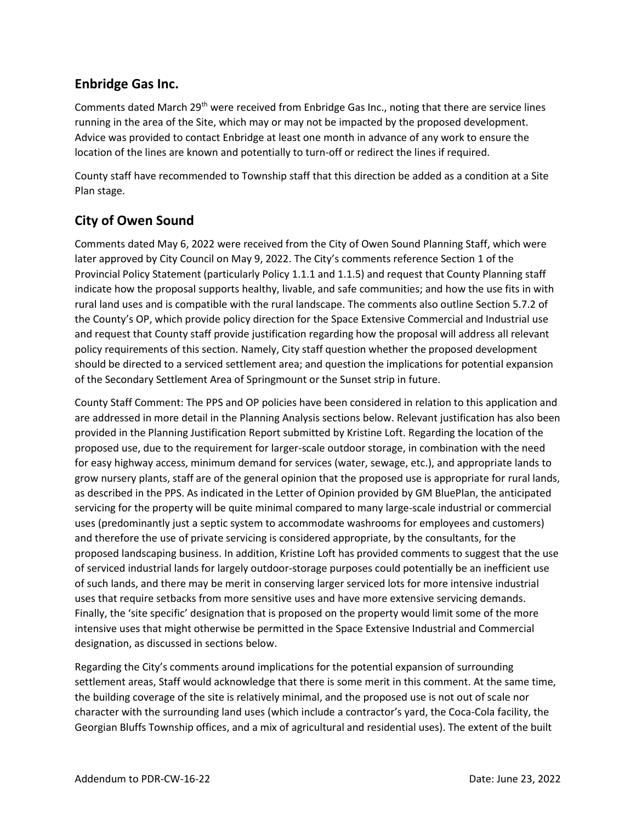#### **Enbridge Gas Inc.**

Comments dated March 29<sup>th</sup> were received from Enbridge Gas Inc., noting that there are service lines running in the area of the Site, which may or may not be impacted by the proposed development. Advice was provided to contact Enbridge at least one month in advance of any work to ensure the location of the lines are known and potentially to turn-off or redirect the lines if required.

County staff have recommended to Township staff that this direction be added as a condition at a Site Plan stage.

#### **City of Owen Sound**

Comments dated May 6, 2022 were received from the City of Owen Sound Planning Staff, which were later approved by City Council on May 9, 2022. The City's comments reference Section 1 of the Provincial Policy Statement (particularly Policy 1.1.1 and 1.1.5) and request that County Planning staff indicate how the proposal supports healthy, livable, and safe communities; and how the use fits in with rural land uses and is compatible with the rural landscape. The comments also outline Section 5.7.2 of the County's OP, which provide policy direction for the Space Extensive Commercial and Industrial use and request that County staff provide justification regarding how the proposal will address all relevant policy requirements of this section. Namely, City staff question whether the proposed development should be directed to a serviced settlement area; and question the implications for potential expansion of the Secondary Settlement Area of Springmount or the Sunset strip in future.

County Staff Comment: The PPS and OP policies have been considered in relation to this application and are addressed in more detail in the Planning Analysis sections below. Relevant justification has also been provided in the Planning Justification Report submitted by Kristine Loft. Regarding the location of the proposed use, due to the requirement for larger-scale outdoor storage, in combination with the need for easy highway access, minimum demand for services (water, sewage, etc.), and appropriate lands to grow nursery plants, staff are of the general opinion that the proposed use is appropriate for rural lands, as described in the PPS. As indicated in the Letter of Opinion provided by GM BluePlan, the anticipated servicing for the property will be quite minimal compared to many large-scale industrial or commercial uses (predominantly just a septic system to accommodate washrooms for employees and customers) and therefore the use of private servicing is considered appropriate, by the consultants, for the proposed landscaping business. In addition, Kristine Loft has provided comments to suggest that the use of serviced industrial lands for largely outdoor-storage purposes could potentially be an inefficient use of such lands, and there may be merit in conserving larger serviced lots for more intensive industrial uses that require setbacks from more sensitive uses and have more extensive servicing demands. Finally, the 'site specific' designation that is proposed on the property would limit some of the more intensive uses that might otherwise be permitted in the Space Extensive Industrial and Commercial designation, as discussed in sections below.

Regarding the City's comments around implications for the potential expansion of surrounding settlement areas, Staff would acknowledge that there is some merit in this comment. At the same time, the building coverage of the site is relatively minimal, and the proposed use is not out of scale nor character with the surrounding land uses (which include a contractor's yard, the Coca-Cola facility, the Georgian Bluffs Township offices, and a mix of agricultural and residential uses). The extent of the built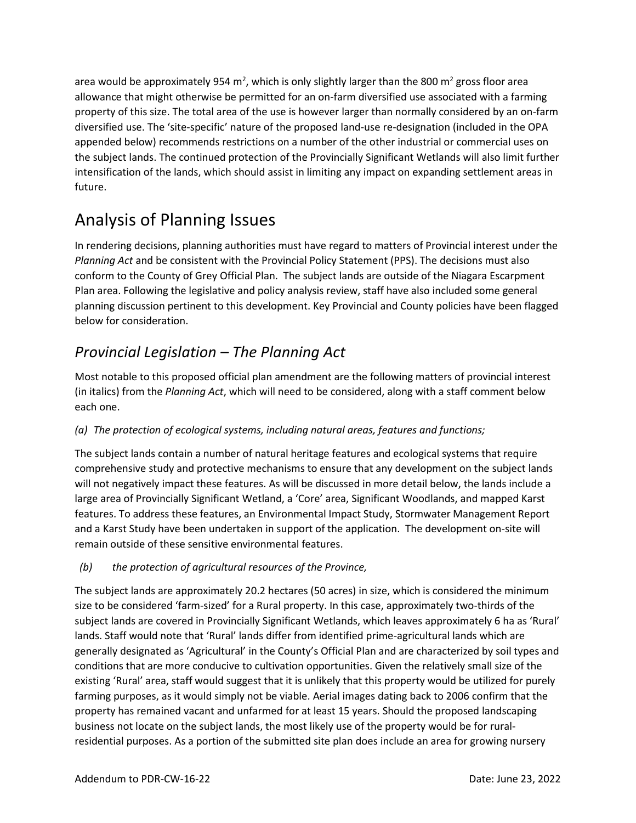area would be approximately 954 m<sup>2</sup>, which is only slightly larger than the 800 m<sup>2</sup> gross floor area allowance that might otherwise be permitted for an on-farm diversified use associated with a farming property of this size. The total area of the use is however larger than normally considered by an on-farm diversified use. The 'site-specific' nature of the proposed land-use re-designation (included in the OPA appended below) recommends restrictions on a number of the other industrial or commercial uses on the subject lands. The continued protection of the Provincially Significant Wetlands will also limit further intensification of the lands, which should assist in limiting any impact on expanding settlement areas in future.

# Analysis of Planning Issues

In rendering decisions, planning authorities must have regard to matters of Provincial interest under the *Planning Act* and be consistent with the Provincial Policy Statement (PPS). The decisions must also conform to the County of Grey Official Plan. The subject lands are outside of the Niagara Escarpment Plan area. Following the legislative and policy analysis review, staff have also included some general planning discussion pertinent to this development. Key Provincial and County policies have been flagged below for consideration.

## *Provincial Legislation – The Planning Act*

Most notable to this proposed official plan amendment are the following matters of provincial interest (in italics) from the *Planning Act*, which will need to be considered, along with a staff comment below each one.

#### *(a) The protection of ecological systems, including natural areas, features and functions;*

The subject lands contain a number of natural heritage features and ecological systems that require comprehensive study and protective mechanisms to ensure that any development on the subject lands will not negatively impact these features. As will be discussed in more detail below, the lands include a large area of Provincially Significant Wetland, a 'Core' area, Significant Woodlands, and mapped Karst features. To address these features, an Environmental Impact Study, Stormwater Management Report and a Karst Study have been undertaken in support of the application. The development on-site will remain outside of these sensitive environmental features.

#### *(b) the protection of agricultural resources of the Province,*

The subject lands are approximately 20.2 hectares (50 acres) in size, which is considered the minimum size to be considered 'farm-sized' for a Rural property. In this case, approximately two-thirds of the subject lands are covered in Provincially Significant Wetlands, which leaves approximately 6 ha as 'Rural' lands. Staff would note that 'Rural' lands differ from identified prime-agricultural lands which are generally designated as 'Agricultural' in the County's Official Plan and are characterized by soil types and conditions that are more conducive to cultivation opportunities. Given the relatively small size of the existing 'Rural' area, staff would suggest that it is unlikely that this property would be utilized for purely farming purposes, as it would simply not be viable. Aerial images dating back to 2006 confirm that the property has remained vacant and unfarmed for at least 15 years. Should the proposed landscaping business not locate on the subject lands, the most likely use of the property would be for ruralresidential purposes. As a portion of the submitted site plan does include an area for growing nursery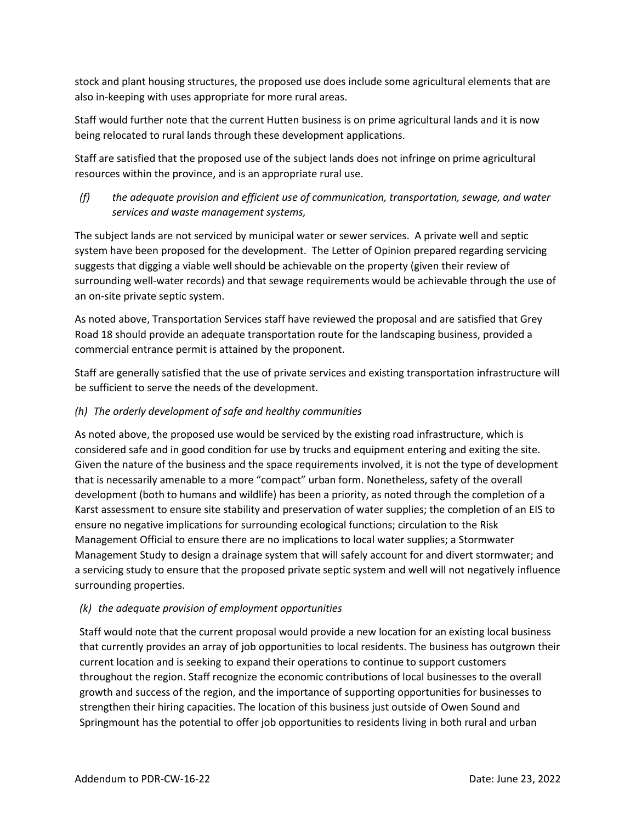stock and plant housing structures, the proposed use does include some agricultural elements that are also in-keeping with uses appropriate for more rural areas.

Staff would further note that the current Hutten business is on prime agricultural lands and it is now being relocated to rural lands through these development applications.

Staff are satisfied that the proposed use of the subject lands does not infringe on prime agricultural resources within the province, and is an appropriate rural use.

*(f) the adequate provision and efficient use of communication, transportation, sewage, and water services and waste management systems,*

The subject lands are not serviced by municipal water or sewer services. A private well and septic system have been proposed for the development. The Letter of Opinion prepared regarding servicing suggests that digging a viable well should be achievable on the property (given their review of surrounding well-water records) and that sewage requirements would be achievable through the use of an on-site private septic system.

As noted above, Transportation Services staff have reviewed the proposal and are satisfied that Grey Road 18 should provide an adequate transportation route for the landscaping business, provided a commercial entrance permit is attained by the proponent.

Staff are generally satisfied that the use of private services and existing transportation infrastructure will be sufficient to serve the needs of the development.

#### *(h) The orderly development of safe and healthy communities*

As noted above, the proposed use would be serviced by the existing road infrastructure, which is considered safe and in good condition for use by trucks and equipment entering and exiting the site. Given the nature of the business and the space requirements involved, it is not the type of development that is necessarily amenable to a more "compact" urban form. Nonetheless, safety of the overall development (both to humans and wildlife) has been a priority, as noted through the completion of a Karst assessment to ensure site stability and preservation of water supplies; the completion of an EIS to ensure no negative implications for surrounding ecological functions; circulation to the Risk Management Official to ensure there are no implications to local water supplies; a Stormwater Management Study to design a drainage system that will safely account for and divert stormwater; and a servicing study to ensure that the proposed private septic system and well will not negatively influence surrounding properties.

#### *(k) the adequate provision of employment opportunities*

Staff would note that the current proposal would provide a new location for an existing local business that currently provides an array of job opportunities to local residents. The business has outgrown their current location and is seeking to expand their operations to continue to support customers throughout the region. Staff recognize the economic contributions of local businesses to the overall growth and success of the region, and the importance of supporting opportunities for businesses to strengthen their hiring capacities. The location of this business just outside of Owen Sound and Springmount has the potential to offer job opportunities to residents living in both rural and urban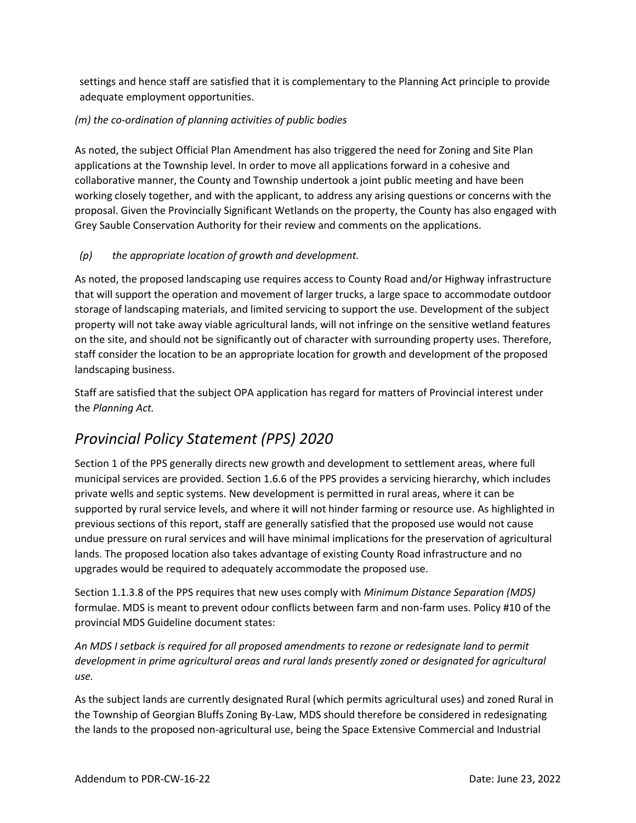settings and hence staff are satisfied that it is complementary to the Planning Act principle to provide adequate employment opportunities.

#### *(m) the co-ordination of planning activities of public bodies*

As noted, the subject Official Plan Amendment has also triggered the need for Zoning and Site Plan applications at the Township level. In order to move all applications forward in a cohesive and collaborative manner, the County and Township undertook a joint public meeting and have been working closely together, and with the applicant, to address any arising questions or concerns with the proposal. Given the Provincially Significant Wetlands on the property, the County has also engaged with Grey Sauble Conservation Authority for their review and comments on the applications.

#### *(p) the appropriate location of growth and development.*

As noted, the proposed landscaping use requires access to County Road and/or Highway infrastructure that will support the operation and movement of larger trucks, a large space to accommodate outdoor storage of landscaping materials, and limited servicing to support the use. Development of the subject property will not take away viable agricultural lands, will not infringe on the sensitive wetland features on the site, and should not be significantly out of character with surrounding property uses. Therefore, staff consider the location to be an appropriate location for growth and development of the proposed landscaping business.

Staff are satisfied that the subject OPA application has regard for matters of Provincial interest under the *Planning Act.*

### *Provincial Policy Statement (PPS) 2020*

Section 1 of the PPS generally directs new growth and development to settlement areas, where full municipal services are provided. Section 1.6.6 of the PPS provides a servicing hierarchy, which includes private wells and septic systems. New development is permitted in rural areas, where it can be supported by rural service levels, and where it will not hinder farming or resource use. As highlighted in previous sections of this report, staff are generally satisfied that the proposed use would not cause undue pressure on rural services and will have minimal implications for the preservation of agricultural lands. The proposed location also takes advantage of existing County Road infrastructure and no upgrades would be required to adequately accommodate the proposed use.

Section 1.1.3.8 of the PPS requires that new uses comply with *Minimum Distance Separation (MDS)*  formulae. MDS is meant to prevent odour conflicts between farm and non-farm uses. Policy #10 of the provincial MDS Guideline document states:

*An MDS I setback is required for all proposed amendments to rezone or redesignate land to permit development in prime agricultural areas and rural lands presently zoned or designated for agricultural use.*

As the subject lands are currently designated Rural (which permits agricultural uses) and zoned Rural in the Township of Georgian Bluffs Zoning By-Law, MDS should therefore be considered in redesignating the lands to the proposed non-agricultural use, being the Space Extensive Commercial and Industrial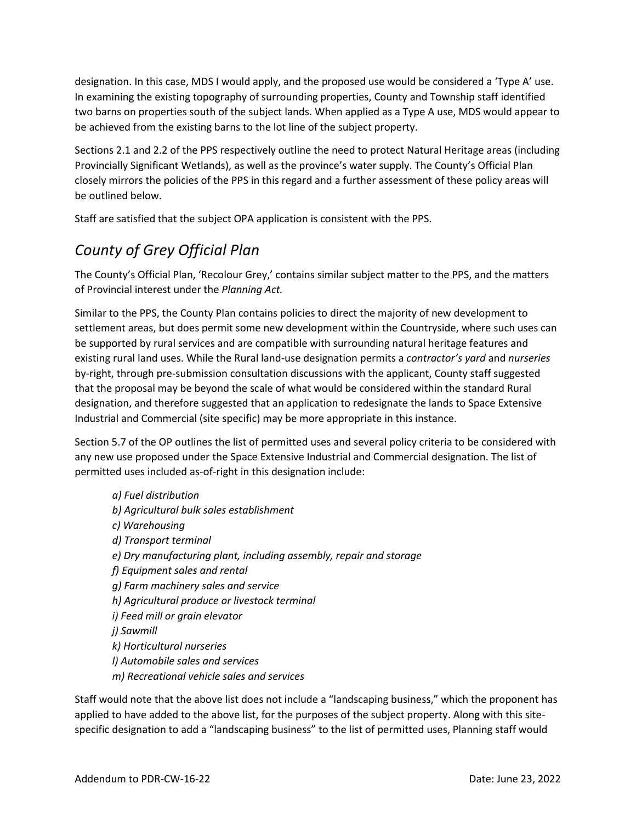designation. In this case, MDS I would apply, and the proposed use would be considered a 'Type A' use. In examining the existing topography of surrounding properties, County and Township staff identified two barns on properties south of the subject lands. When applied as a Type A use, MDS would appear to be achieved from the existing barns to the lot line of the subject property.

Sections 2.1 and 2.2 of the PPS respectively outline the need to protect Natural Heritage areas (including Provincially Significant Wetlands), as well as the province's water supply. The County's Official Plan closely mirrors the policies of the PPS in this regard and a further assessment of these policy areas will be outlined below.

Staff are satisfied that the subject OPA application is consistent with the PPS.

## *County of Grey Official Plan*

The County's Official Plan, 'Recolour Grey,' contains similar subject matter to the PPS, and the matters of Provincial interest under the *Planning Act.*

Similar to the PPS, the County Plan contains policies to direct the majority of new development to settlement areas, but does permit some new development within the Countryside, where such uses can be supported by rural services and are compatible with surrounding natural heritage features and existing rural land uses. While the Rural land-use designation permits a *contractor's yard* and *nurseries* by-right, through pre-submission consultation discussions with the applicant, County staff suggested that the proposal may be beyond the scale of what would be considered within the standard Rural designation, and therefore suggested that an application to redesignate the lands to Space Extensive Industrial and Commercial (site specific) may be more appropriate in this instance.

Section 5.7 of the OP outlines the list of permitted uses and several policy criteria to be considered with any new use proposed under the Space Extensive Industrial and Commercial designation. The list of permitted uses included as-of-right in this designation include:

*a) Fuel distribution b) Agricultural bulk sales establishment c) Warehousing d) Transport terminal e) Dry manufacturing plant, including assembly, repair and storage f) Equipment sales and rental g) Farm machinery sales and service h) Agricultural produce or livestock terminal i) Feed mill or grain elevator j) Sawmill k) Horticultural nurseries l) Automobile sales and services m) Recreational vehicle sales and services*

Staff would note that the above list does not include a "landscaping business," which the proponent has applied to have added to the above list, for the purposes of the subject property. Along with this sitespecific designation to add a "landscaping business" to the list of permitted uses, Planning staff would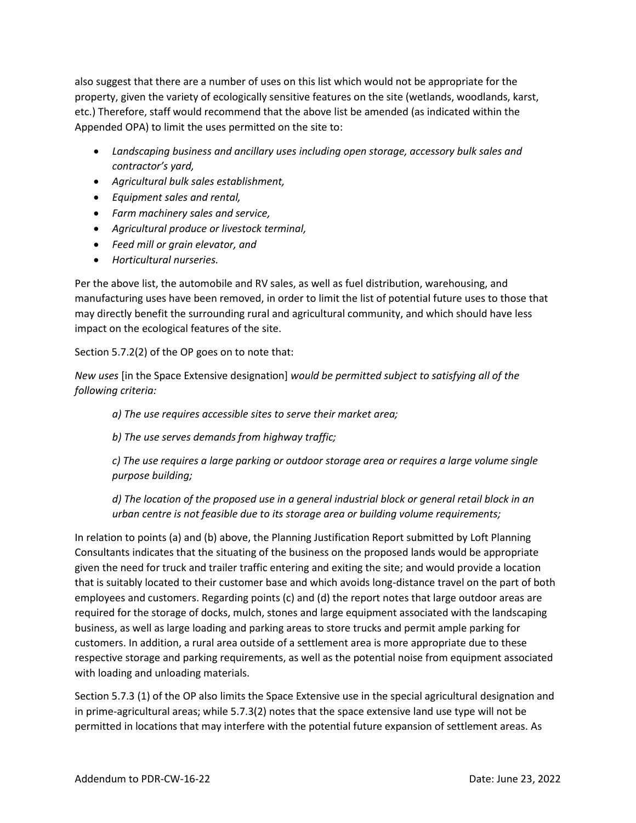also suggest that there are a number of uses on this list which would not be appropriate for the property, given the variety of ecologically sensitive features on the site (wetlands, woodlands, karst, etc.) Therefore, staff would recommend that the above list be amended (as indicated within the Appended OPA) to limit the uses permitted on the site to:

- *Landscaping business and ancillary uses including open storage, accessory bulk sales and contractor's yard,*
- *Agricultural bulk sales establishment,*
- *Equipment sales and rental,*
- *Farm machinery sales and service,*
- *Agricultural produce or livestock terminal,*
- *Feed mill or grain elevator, and*
- *Horticultural nurseries.*

Per the above list, the automobile and RV sales, as well as fuel distribution, warehousing, and manufacturing uses have been removed, in order to limit the list of potential future uses to those that may directly benefit the surrounding rural and agricultural community, and which should have less impact on the ecological features of the site.

Section 5.7.2(2) of the OP goes on to note that:

*New uses* [in the Space Extensive designation] *would be permitted subject to satisfying all of the following criteria:*

*a) The use requires accessible sites to serve their market area;*

*b) The use serves demands from highway traffic;*

*c) The use requires a large parking or outdoor storage area or requires a large volume single purpose building;*

*d) The location of the proposed use in a general industrial block or general retail block in an urban centre is not feasible due to its storage area or building volume requirements;*

In relation to points (a) and (b) above, the Planning Justification Report submitted by Loft Planning Consultants indicates that the situating of the business on the proposed lands would be appropriate given the need for truck and trailer traffic entering and exiting the site; and would provide a location that is suitably located to their customer base and which avoids long-distance travel on the part of both employees and customers. Regarding points (c) and (d) the report notes that large outdoor areas are required for the storage of docks, mulch, stones and large equipment associated with the landscaping business, as well as large loading and parking areas to store trucks and permit ample parking for customers. In addition, a rural area outside of a settlement area is more appropriate due to these respective storage and parking requirements, as well as the potential noise from equipment associated with loading and unloading materials.

Section 5.7.3 (1) of the OP also limits the Space Extensive use in the special agricultural designation and in prime-agricultural areas; while 5.7.3(2) notes that the space extensive land use type will not be permitted in locations that may interfere with the potential future expansion of settlement areas. As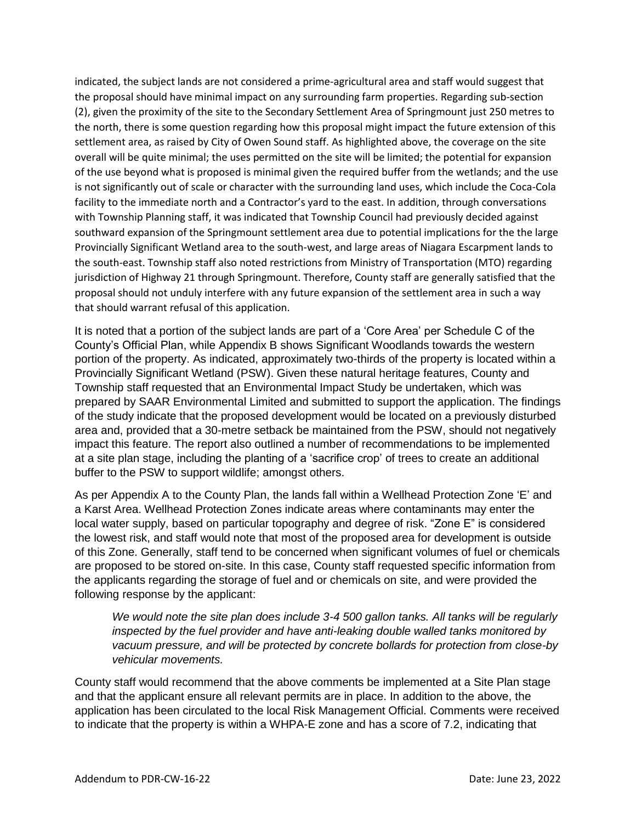indicated, the subject lands are not considered a prime-agricultural area and staff would suggest that the proposal should have minimal impact on any surrounding farm properties. Regarding sub-section (2), given the proximity of the site to the Secondary Settlement Area of Springmount just 250 metres to the north, there is some question regarding how this proposal might impact the future extension of this settlement area, as raised by City of Owen Sound staff. As highlighted above, the coverage on the site overall will be quite minimal; the uses permitted on the site will be limited; the potential for expansion of the use beyond what is proposed is minimal given the required buffer from the wetlands; and the use is not significantly out of scale or character with the surrounding land uses, which include the Coca-Cola facility to the immediate north and a Contractor's yard to the east. In addition, through conversations with Township Planning staff, it was indicated that Township Council had previously decided against southward expansion of the Springmount settlement area due to potential implications for the the large Provincially Significant Wetland area to the south-west, and large areas of Niagara Escarpment lands to the south-east. Township staff also noted restrictions from Ministry of Transportation (MTO) regarding jurisdiction of Highway 21 through Springmount. Therefore, County staff are generally satisfied that the proposal should not unduly interfere with any future expansion of the settlement area in such a way that should warrant refusal of this application.

It is noted that a portion of the subject lands are part of a 'Core Area' per Schedule C of the County's Official Plan, while Appendix B shows Significant Woodlands towards the western portion of the property. As indicated, approximately two-thirds of the property is located within a Provincially Significant Wetland (PSW). Given these natural heritage features, County and Township staff requested that an Environmental Impact Study be undertaken, which was prepared by SAAR Environmental Limited and submitted to support the application. The findings of the study indicate that the proposed development would be located on a previously disturbed area and, provided that a 30-metre setback be maintained from the PSW, should not negatively impact this feature. The report also outlined a number of recommendations to be implemented at a site plan stage, including the planting of a 'sacrifice crop' of trees to create an additional buffer to the PSW to support wildlife; amongst others.

As per Appendix A to the County Plan, the lands fall within a Wellhead Protection Zone 'E' and a Karst Area. Wellhead Protection Zones indicate areas where contaminants may enter the local water supply, based on particular topography and degree of risk. "Zone E" is considered the lowest risk, and staff would note that most of the proposed area for development is outside of this Zone. Generally, staff tend to be concerned when significant volumes of fuel or chemicals are proposed to be stored on-site. In this case, County staff requested specific information from the applicants regarding the storage of fuel and or chemicals on site, and were provided the following response by the applicant:

*We would note the site plan does include 3-4 500 gallon tanks. All tanks will be regularly inspected by the fuel provider and have anti-leaking double walled tanks monitored by vacuum pressure, and will be protected by concrete bollards for protection from close-by vehicular movements.*

County staff would recommend that the above comments be implemented at a Site Plan stage and that the applicant ensure all relevant permits are in place. In addition to the above, the application has been circulated to the local Risk Management Official. Comments were received to indicate that the property is within a WHPA-E zone and has a score of 7.2, indicating that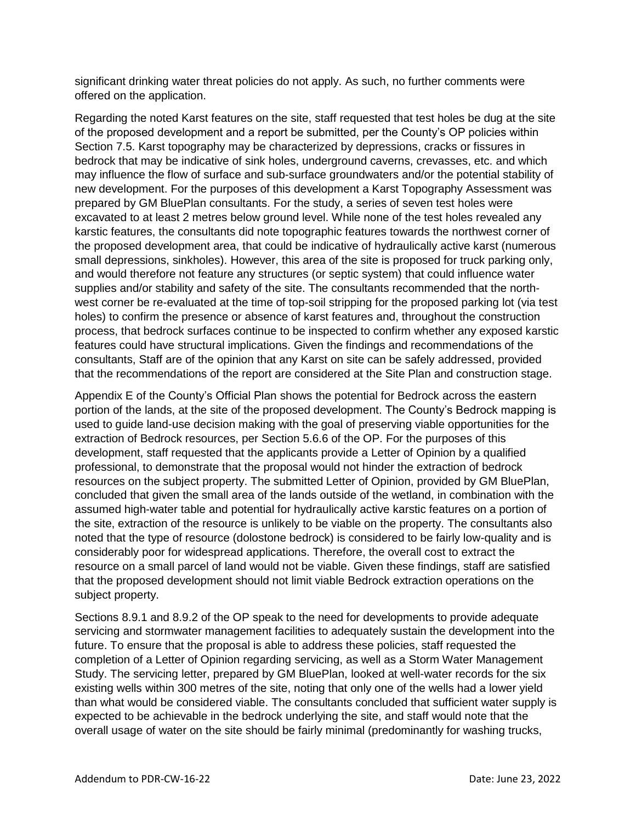significant drinking water threat policies do not apply. As such, no further comments were offered on the application.

Regarding the noted Karst features on the site, staff requested that test holes be dug at the site of the proposed development and a report be submitted, per the County's OP policies within Section 7.5. Karst topography may be characterized by depressions, cracks or fissures in bedrock that may be indicative of sink holes, underground caverns, crevasses, etc. and which may influence the flow of surface and sub-surface groundwaters and/or the potential stability of new development. For the purposes of this development a Karst Topography Assessment was prepared by GM BluePlan consultants. For the study, a series of seven test holes were excavated to at least 2 metres below ground level. While none of the test holes revealed any karstic features, the consultants did note topographic features towards the northwest corner of the proposed development area, that could be indicative of hydraulically active karst (numerous small depressions, sinkholes). However, this area of the site is proposed for truck parking only, and would therefore not feature any structures (or septic system) that could influence water supplies and/or stability and safety of the site. The consultants recommended that the northwest corner be re-evaluated at the time of top-soil stripping for the proposed parking lot (via test holes) to confirm the presence or absence of karst features and, throughout the construction process, that bedrock surfaces continue to be inspected to confirm whether any exposed karstic features could have structural implications. Given the findings and recommendations of the consultants, Staff are of the opinion that any Karst on site can be safely addressed, provided that the recommendations of the report are considered at the Site Plan and construction stage.

Appendix E of the County's Official Plan shows the potential for Bedrock across the eastern portion of the lands, at the site of the proposed development. The County's Bedrock mapping is used to guide land-use decision making with the goal of preserving viable opportunities for the extraction of Bedrock resources, per Section 5.6.6 of the OP. For the purposes of this development, staff requested that the applicants provide a Letter of Opinion by a qualified professional, to demonstrate that the proposal would not hinder the extraction of bedrock resources on the subject property. The submitted Letter of Opinion, provided by GM BluePlan, concluded that given the small area of the lands outside of the wetland, in combination with the assumed high-water table and potential for hydraulically active karstic features on a portion of the site, extraction of the resource is unlikely to be viable on the property. The consultants also noted that the type of resource (dolostone bedrock) is considered to be fairly low-quality and is considerably poor for widespread applications. Therefore, the overall cost to extract the resource on a small parcel of land would not be viable. Given these findings, staff are satisfied that the proposed development should not limit viable Bedrock extraction operations on the subject property.

Sections 8.9.1 and 8.9.2 of the OP speak to the need for developments to provide adequate servicing and stormwater management facilities to adequately sustain the development into the future. To ensure that the proposal is able to address these policies, staff requested the completion of a Letter of Opinion regarding servicing, as well as a Storm Water Management Study. The servicing letter, prepared by GM BluePlan, looked at well-water records for the six existing wells within 300 metres of the site, noting that only one of the wells had a lower yield than what would be considered viable. The consultants concluded that sufficient water supply is expected to be achievable in the bedrock underlying the site, and staff would note that the overall usage of water on the site should be fairly minimal (predominantly for washing trucks,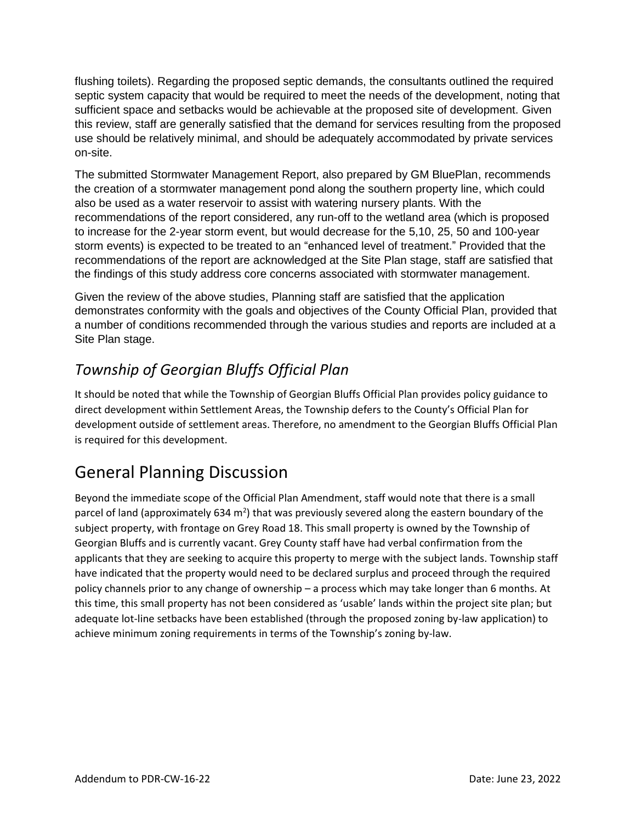flushing toilets). Regarding the proposed septic demands, the consultants outlined the required septic system capacity that would be required to meet the needs of the development, noting that sufficient space and setbacks would be achievable at the proposed site of development. Given this review, staff are generally satisfied that the demand for services resulting from the proposed use should be relatively minimal, and should be adequately accommodated by private services on-site.

The submitted Stormwater Management Report, also prepared by GM BluePlan, recommends the creation of a stormwater management pond along the southern property line, which could also be used as a water reservoir to assist with watering nursery plants. With the recommendations of the report considered, any run-off to the wetland area (which is proposed to increase for the 2-year storm event, but would decrease for the 5,10, 25, 50 and 100-year storm events) is expected to be treated to an "enhanced level of treatment." Provided that the recommendations of the report are acknowledged at the Site Plan stage, staff are satisfied that the findings of this study address core concerns associated with stormwater management.

Given the review of the above studies, Planning staff are satisfied that the application demonstrates conformity with the goals and objectives of the County Official Plan, provided that a number of conditions recommended through the various studies and reports are included at a Site Plan stage.

# *Township of Georgian Bluffs Official Plan*

It should be noted that while the Township of Georgian Bluffs Official Plan provides policy guidance to direct development within Settlement Areas, the Township defers to the County's Official Plan for development outside of settlement areas. Therefore, no amendment to the Georgian Bluffs Official Plan is required for this development.

# General Planning Discussion

Beyond the immediate scope of the Official Plan Amendment, staff would note that there is a small parcel of land (approximately 634 m<sup>2</sup>) that was previously severed along the eastern boundary of the subject property, with frontage on Grey Road 18. This small property is owned by the Township of Georgian Bluffs and is currently vacant. Grey County staff have had verbal confirmation from the applicants that they are seeking to acquire this property to merge with the subject lands. Township staff have indicated that the property would need to be declared surplus and proceed through the required policy channels prior to any change of ownership – a process which may take longer than 6 months. At this time, this small property has not been considered as 'usable' lands within the project site plan; but adequate lot-line setbacks have been established (through the proposed zoning by-law application) to achieve minimum zoning requirements in terms of the Township's zoning by-law.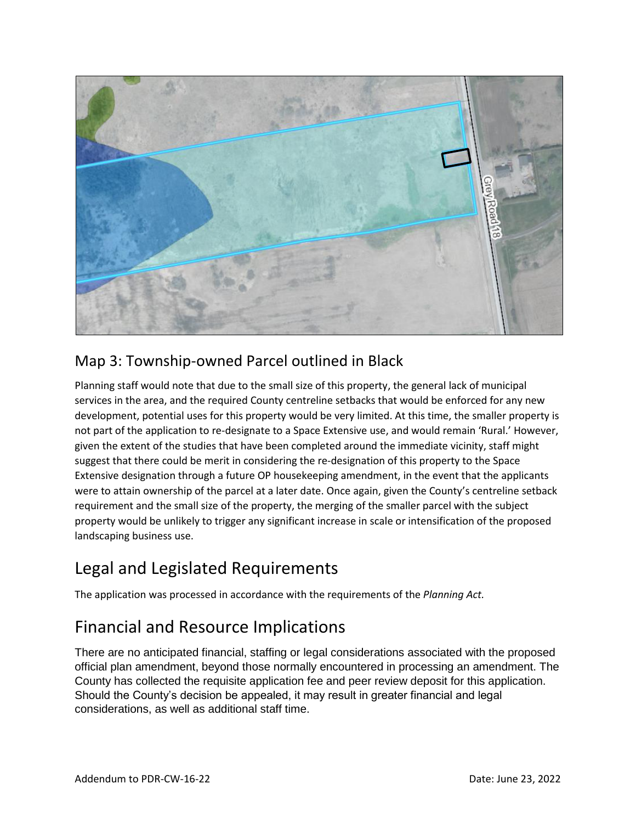

### Map 3: Township-owned Parcel outlined in Black

Planning staff would note that due to the small size of this property, the general lack of municipal services in the area, and the required County centreline setbacks that would be enforced for any new development, potential uses for this property would be very limited. At this time, the smaller property is not part of the application to re-designate to a Space Extensive use, and would remain 'Rural.' However, given the extent of the studies that have been completed around the immediate vicinity, staff might suggest that there could be merit in considering the re-designation of this property to the Space Extensive designation through a future OP housekeeping amendment, in the event that the applicants were to attain ownership of the parcel at a later date. Once again, given the County's centreline setback requirement and the small size of the property, the merging of the smaller parcel with the subject property would be unlikely to trigger any significant increase in scale or intensification of the proposed landscaping business use.

# Legal and Legislated Requirements

The application was processed in accordance with the requirements of the *Planning Act.*

# Financial and Resource Implications

There are no anticipated financial, staffing or legal considerations associated with the proposed official plan amendment, beyond those normally encountered in processing an amendment. The County has collected the requisite application fee and peer review deposit for this application. Should the County's decision be appealed, it may result in greater financial and legal considerations, as well as additional staff time.